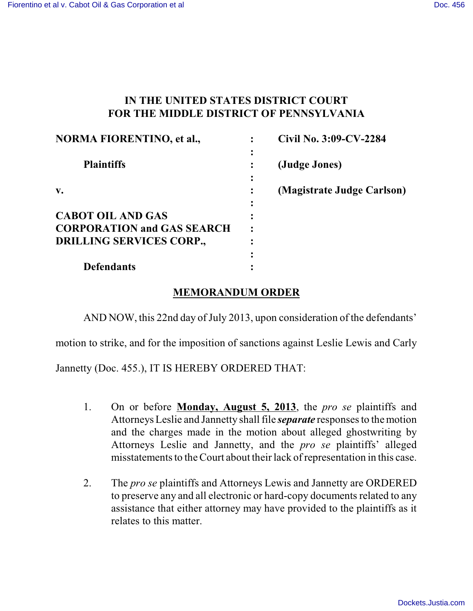## **IN THE UNITED STATES DISTRICT COURT FOR THE MIDDLE DISTRICT OF PENNSYLVANIA**

| <b>NORMA FIORENTINO, et al.,</b>  | Civil No. 3:09-CV-2284     |
|-----------------------------------|----------------------------|
| <b>Plaintiffs</b>                 | (Judge Jones)              |
| $\mathbf{v}$ .                    | (Magistrate Judge Carlson) |
| <b>CABOT OIL AND GAS</b>          |                            |
| <b>CORPORATION and GAS SEARCH</b> |                            |
| <b>DRILLING SERVICES CORP.,</b>   |                            |
|                                   |                            |
| <b>Defendants</b>                 |                            |

## **MEMORANDUM ORDER**

AND NOW, this 22nd day of July 2013, upon consideration of the defendants'

motion to strike, and for the imposition of sanctions against Leslie Lewis and Carly

Jannetty (Doc. 455.), IT IS HEREBY ORDERED THAT:

- 1. On or before **Monday, August 5, 2013**, the *pro se* plaintiffs and Attorneys Leslie and Jannetty shall file *separate* responsesto the motion and the charges made in the motion about alleged ghostwriting by Attorneys Leslie and Jannetty, and the *pro se* plaintiffs' alleged misstatements to the Court about their lack of representation in this case.
- 2. The *pro se* plaintiffs and Attorneys Lewis and Jannetty are ORDERED to preserve any and all electronic or hard-copy documents related to any assistance that either attorney may have provided to the plaintiffs as it relates to this matter.